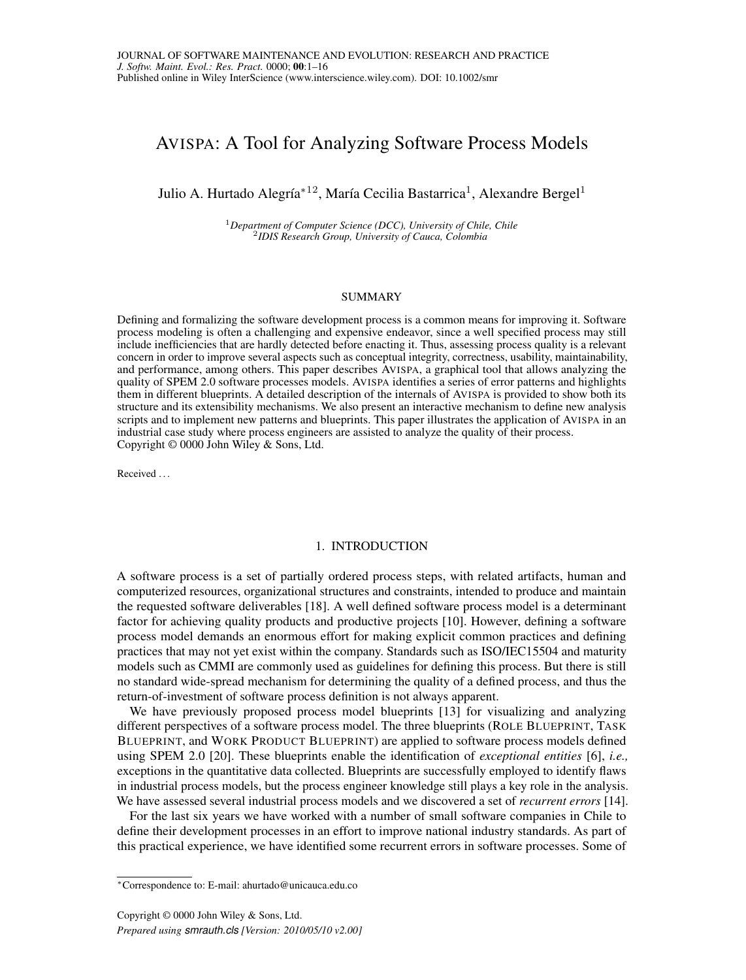# <span id="page-0-0"></span>AVISPA: A Tool for Analyzing Software Process Models

Julio A. Hurtado Alegría $^{\ast12}$ , María Cecilia Bastarrica $^1$ , Alexandre Bergel $^1$ 

<sup>1</sup>*Department of Computer Science (DCC), University of Chile, Chile* 2 *IDIS Research Group, University of Cauca, Colombia*

#### SUMMARY

Defining and formalizing the software development process is a common means for improving it. Software process modeling is often a challenging and expensive endeavor, since a well specified process may still include inefficiencies that are hardly detected before enacting it. Thus, assessing process quality is a relevant concern in order to improve several aspects such as conceptual integrity, correctness, usability, maintainability, and performance, among others. This paper describes AVISPA, a graphical tool that allows analyzing the quality of SPEM 2.0 software processes models. AVISPA identifies a series of error patterns and highlights them in different blueprints. A detailed description of the internals of AVISPA is provided to show both its structure and its extensibility mechanisms. We also present an interactive mechanism to define new analysis scripts and to implement new patterns and blueprints. This paper illustrates the application of AVISPA in an industrial case study where process engineers are assisted to analyze the quality of their process. Copyright © 0000 John Wiley & Sons, Ltd.

Received . . .

## 1. INTRODUCTION

A software process is a set of partially ordered process steps, with related artifacts, human and computerized resources, organizational structures and constraints, intended to produce and maintain the requested software deliverables [\[18\]](#page-14-0). A well defined software process model is a determinant factor for achieving quality products and productive projects [\[10\]](#page-14-1). However, defining a software process model demands an enormous effort for making explicit common practices and defining practices that may not yet exist within the company. Standards such as ISO/IEC15504 and maturity models such as CMMI are commonly used as guidelines for defining this process. But there is still no standard wide-spread mechanism for determining the quality of a defined process, and thus the return-of-investment of software process definition is not always apparent.

We have previously proposed process model blueprints [\[13\]](#page-14-2) for visualizing and analyzing different perspectives of a software process model. The three blueprints (ROLE BLUEPRINT, TASK BLUEPRINT, and WORK PRODUCT BLUEPRINT) are applied to software process models defined using SPEM 2.0 [\[20\]](#page-14-3). These blueprints enable the identification of *exceptional entities* [\[6\]](#page-14-4), *i.e.,* exceptions in the quantitative data collected. Blueprints are successfully employed to identify flaws in industrial process models, but the process engineer knowledge still plays a key role in the analysis. We have assessed several industrial process models and we discovered a set of *recurrent errors* [\[14\]](#page-14-5).

For the last six years we have worked with a number of small software companies in Chile to define their development processes in an effort to improve national industry standards. As part of this practical experience, we have identified some recurrent errors in software processes. Some of

<sup>∗</sup>Correspondence to: E-mail: ahurtado@unicauca.edu.co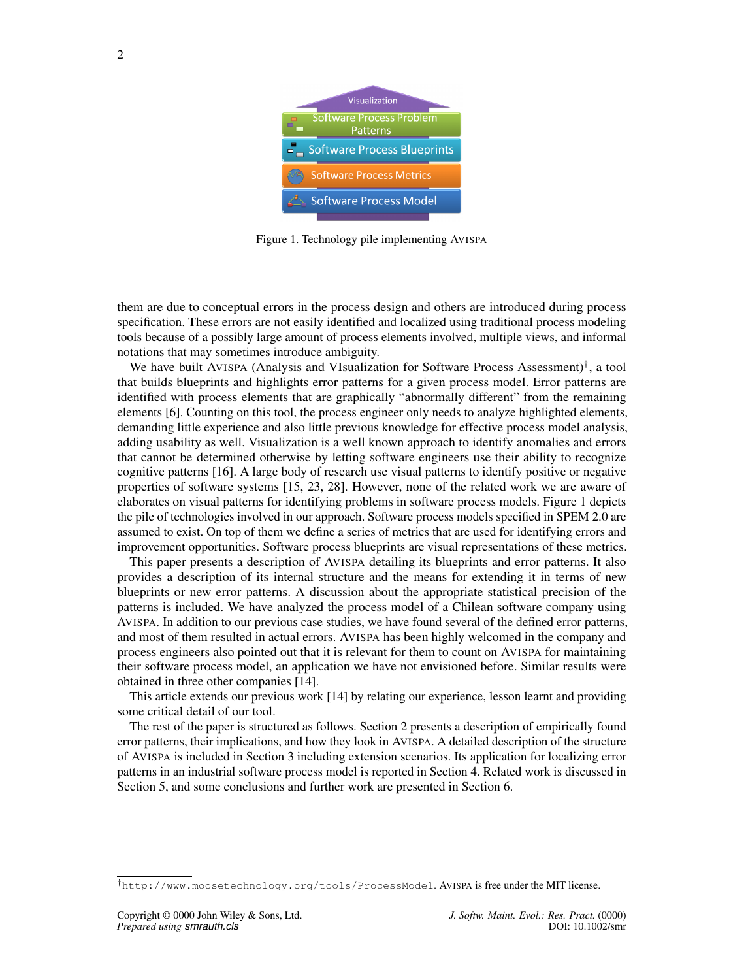<span id="page-1-1"></span>

Figure 1. Technology pile implementing AVISPA

them are due to conceptual errors in the process design and others are introduced during process specification. These errors are not easily identified and localized using traditional process modeling tools because of a possibly large amount of process elements involved, multiple views, and informal notations that may sometimes introduce ambiguity.

We have built AVISPA (Analysis and VIsualization for Software Process Assessment)<sup>[†](#page-1-0)</sup>, a tool that builds blueprints and highlights error patterns for a given process model. Error patterns are identified with process elements that are graphically "abnormally different" from the remaining elements [\[6\]](#page-14-4). Counting on this tool, the process engineer only needs to analyze highlighted elements, demanding little experience and also little previous knowledge for effective process model analysis, adding usability as well. Visualization is a well known approach to identify anomalies and errors that cannot be determined otherwise by letting software engineers use their ability to recognize cognitive patterns [\[16\]](#page-14-6). A large body of research use visual patterns to identify positive or negative properties of software systems [\[15,](#page-14-7) [23,](#page-15-0) [28\]](#page-15-1). However, none of the related work we are aware of elaborates on visual patterns for identifying problems in software process models. Figure [1](#page-1-1) depicts the pile of technologies involved in our approach. Software process models specified in SPEM 2.0 are assumed to exist. On top of them we define a series of metrics that are used for identifying errors and improvement opportunities. Software process blueprints are visual representations of these metrics.

This paper presents a description of AVISPA detailing its blueprints and error patterns. It also provides a description of its internal structure and the means for extending it in terms of new blueprints or new error patterns. A discussion about the appropriate statistical precision of the patterns is included. We have analyzed the process model of a Chilean software company using AVISPA. In addition to our previous case studies, we have found several of the defined error patterns, and most of them resulted in actual errors. AVISPA has been highly welcomed in the company and process engineers also pointed out that it is relevant for them to count on AVISPA for maintaining their software process model, an application we have not envisioned before. Similar results were obtained in three other companies [\[14\]](#page-14-5).

This article extends our previous work [\[14\]](#page-14-5) by relating our experience, lesson learnt and providing some critical detail of our tool.

The rest of the paper is structured as follows. Section [2](#page-2-0) presents a description of empirically found error patterns, their implications, and how they look in AVISPA. A detailed description of the structure of AVISPA is included in Section [3](#page-5-0) including extension scenarios. Its application for localizing error patterns in an industrial software process model is reported in Section [4.](#page-11-0) Related work is discussed in Section [5,](#page-12-0) and some conclusions and further work are presented in Section [6.](#page-13-0)

<span id="page-1-0"></span><sup>†</sup><http://www.moosetechnology.org/tools/ProcessModel>. AVISPA is free under the MIT license.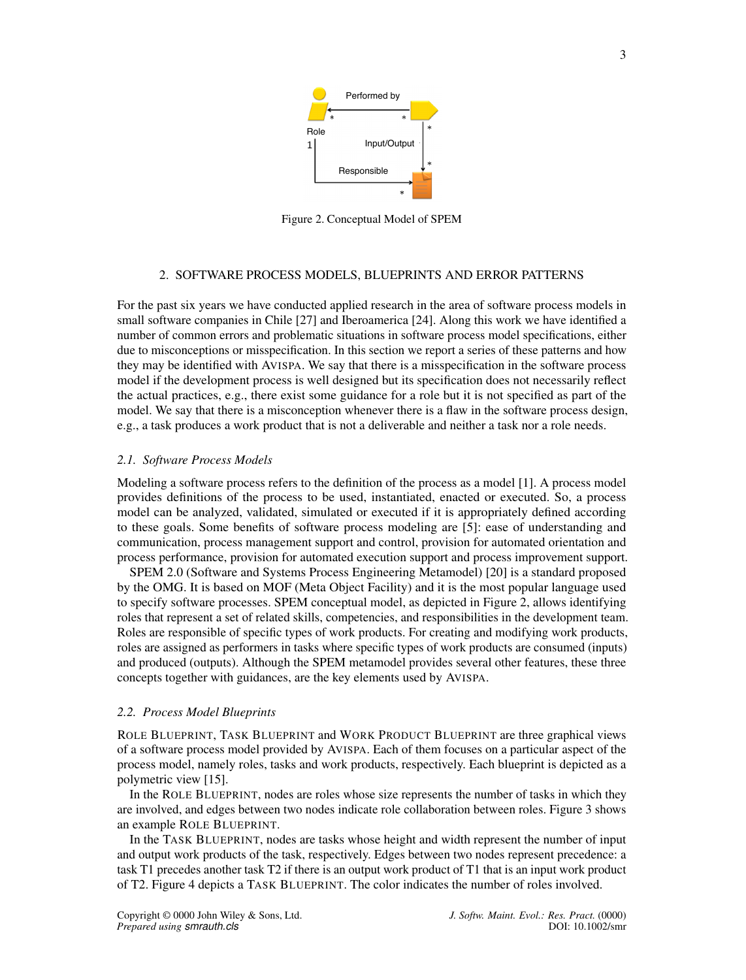<span id="page-2-1"></span>

Figure 2. Conceptual Model of SPEM

## 2. SOFTWARE PROCESS MODELS, BLUEPRINTS AND ERROR PATTERNS

<span id="page-2-0"></span>For the past six years we have conducted applied research in the area of software process models in small software companies in Chile [\[27\]](#page-15-2) and Iberoamerica [\[24\]](#page-15-3). Along this work we have identified a number of common errors and problematic situations in software process model specifications, either due to misconceptions or misspecification. In this section we report a series of these patterns and how they may be identified with AVISPA. We say that there is a misspecification in the software process model if the development process is well designed but its specification does not necessarily reflect the actual practices, e.g., there exist some guidance for a role but it is not specified as part of the model. We say that there is a misconception whenever there is a flaw in the software process design, e.g., a task produces a work product that is not a deliverable and neither a task nor a role needs.

#### *2.1. Software Process Models*

Modeling a software process refers to the definition of the process as a model [\[1\]](#page-14-8). A process model provides definitions of the process to be used, instantiated, enacted or executed. So, a process model can be analyzed, validated, simulated or executed if it is appropriately defined according to these goals. Some benefits of software process modeling are [\[5\]](#page-14-9): ease of understanding and communication, process management support and control, provision for automated orientation and process performance, provision for automated execution support and process improvement support.

SPEM 2.0 (Software and Systems Process Engineering Metamodel) [\[20\]](#page-14-3) is a standard proposed by the OMG. It is based on MOF (Meta Object Facility) and it is the most popular language used to specify software processes. SPEM conceptual model, as depicted in Figure [2,](#page-2-1) allows identifying roles that represent a set of related skills, competencies, and responsibilities in the development team. Roles are responsible of specific types of work products. For creating and modifying work products, roles are assigned as performers in tasks where specific types of work products are consumed (inputs) and produced (outputs). Although the SPEM metamodel provides several other features, these three concepts together with guidances, are the key elements used by AVISPA.

#### *2.2. Process Model Blueprints*

ROLE BLUEPRINT, TASK BLUEPRINT and WORK PRODUCT BLUEPRINT are three graphical views of a software process model provided by AVISPA. Each of them focuses on a particular aspect of the process model, namely roles, tasks and work products, respectively. Each blueprint is depicted as a polymetric view [\[15\]](#page-14-7).

In the ROLE BLUEPRINT, nodes are roles whose size represents the number of tasks in which they are involved, and edges between two nodes indicate role collaboration between roles. Figure [3](#page-3-0) shows an example ROLE BLUEPRINT.

In the TASK BLUEPRINT, nodes are tasks whose height and width represent the number of input and output work products of the task, respectively. Edges between two nodes represent precedence: a task T1 precedes another task T2 if there is an output work product of T1 that is an input work product of T2. Figure [4](#page-3-1) depicts a TASK BLUEPRINT. The color indicates the number of roles involved.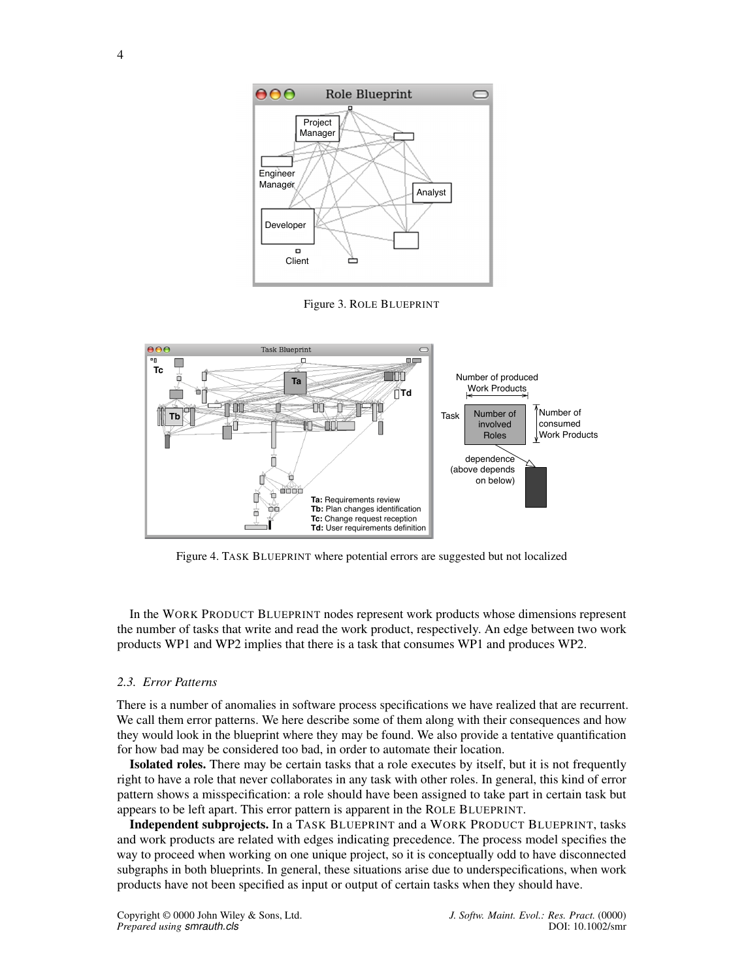<span id="page-3-0"></span>

Figure 3. ROLE BLUEPRINT

<span id="page-3-1"></span>

Figure 4. TASK BLUEPRINT where potential errors are suggested but not localized

In the WORK PRODUCT BLUEPRINT nodes represent work products whose dimensions represent the number of tasks that write and read the work product, respectively. An edge between two work products WP1 and WP2 implies that there is a task that consumes WP1 and produces WP2.

#### *2.3. Error Patterns*

There is a number of anomalies in software process specifications we have realized that are recurrent. We call them error patterns. We here describe some of them along with their consequences and how they would look in the blueprint where they may be found. We also provide a tentative quantification for how bad may be considered too bad, in order to automate their location.

Isolated roles. There may be certain tasks that a role executes by itself, but it is not frequently right to have a role that never collaborates in any task with other roles. In general, this kind of error pattern shows a misspecification: a role should have been assigned to take part in certain task but appears to be left apart. This error pattern is apparent in the ROLE BLUEPRINT.

Independent subprojects. In a TASK BLUEPRINT and a WORK PRODUCT BLUEPRINT, tasks and work products are related with edges indicating precedence. The process model specifies the way to proceed when working on one unique project, so it is conceptually odd to have disconnected subgraphs in both blueprints. In general, these situations arise due to underspecifications, when work products have not been specified as input or output of certain tasks when they should have.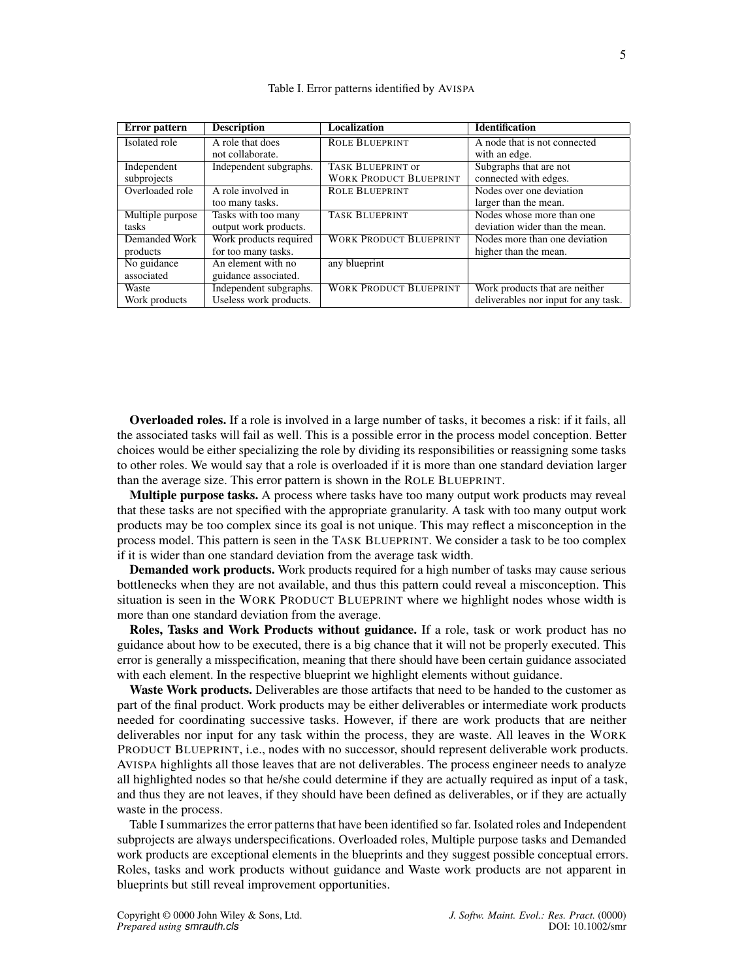<span id="page-4-0"></span>

| Error pattern    | <b>Description</b>     | <b>Localization</b>           | <b>Identification</b>                |
|------------------|------------------------|-------------------------------|--------------------------------------|
| Isolated role    | A role that does       | <b>ROLE BLUEPRINT</b>         | A node that is not connected         |
|                  | not collaborate.       |                               | with an edge.                        |
| Independent      | Independent subgraphs. | <b>TASK BLUEPRINT OF</b>      | Subgraphs that are not               |
| subprojects      |                        | <b>WORK PRODUCT BLUEPRINT</b> | connected with edges.                |
| Overloaded role  | A role involved in     | <b>ROLE BLUEPRINT</b>         | Nodes over one deviation             |
|                  | too many tasks.        |                               | larger than the mean.                |
| Multiple purpose | Tasks with too many    | <b>TASK BLUEPRINT</b>         | Nodes whose more than one            |
| tasks            | output work products.  |                               | deviation wider than the mean.       |
| Demanded Work    | Work products required | <b>WORK PRODUCT BLUEPRINT</b> | Nodes more than one deviation        |
| products         | for too many tasks.    |                               | higher than the mean.                |
| No guidance      | An element with no     | any blueprint                 |                                      |
| associated       | guidance associated.   |                               |                                      |
| Waste            | Independent subgraphs. | <b>WORK PRODUCT BLUEPRINT</b> | Work products that are neither       |
| Work products    | Useless work products. |                               | deliverables nor input for any task. |

#### Table I. Error patterns identified by AVISPA

Overloaded roles. If a role is involved in a large number of tasks, it becomes a risk: if it fails, all the associated tasks will fail as well. This is a possible error in the process model conception. Better choices would be either specializing the role by dividing its responsibilities or reassigning some tasks to other roles. We would say that a role is overloaded if it is more than one standard deviation larger than the average size. This error pattern is shown in the ROLE BLUEPRINT.

Multiple purpose tasks. A process where tasks have too many output work products may reveal that these tasks are not specified with the appropriate granularity. A task with too many output work products may be too complex since its goal is not unique. This may reflect a misconception in the process model. This pattern is seen in the TASK BLUEPRINT. We consider a task to be too complex if it is wider than one standard deviation from the average task width.

Demanded work products. Work products required for a high number of tasks may cause serious bottlenecks when they are not available, and thus this pattern could reveal a misconception. This situation is seen in the WORK PRODUCT BLUEPRINT where we highlight nodes whose width is more than one standard deviation from the average.

Roles, Tasks and Work Products without guidance. If a role, task or work product has no guidance about how to be executed, there is a big chance that it will not be properly executed. This error is generally a misspecification, meaning that there should have been certain guidance associated with each element. In the respective blueprint we highlight elements without guidance.

Waste Work products. Deliverables are those artifacts that need to be handed to the customer as part of the final product. Work products may be either deliverables or intermediate work products needed for coordinating successive tasks. However, if there are work products that are neither deliverables nor input for any task within the process, they are waste. All leaves in the WORK PRODUCT BLUEPRINT, i.e., nodes with no successor, should represent deliverable work products. AVISPA highlights all those leaves that are not deliverables. The process engineer needs to analyze all highlighted nodes so that he/she could determine if they are actually required as input of a task, and thus they are not leaves, if they should have been defined as deliverables, or if they are actually waste in the process.

Table [I](#page-4-0) summarizes the error patterns that have been identified so far. Isolated roles and Independent subprojects are always underspecifications. Overloaded roles, Multiple purpose tasks and Demanded work products are exceptional elements in the blueprints and they suggest possible conceptual errors. Roles, tasks and work products without guidance and Waste work products are not apparent in blueprints but still reveal improvement opportunities.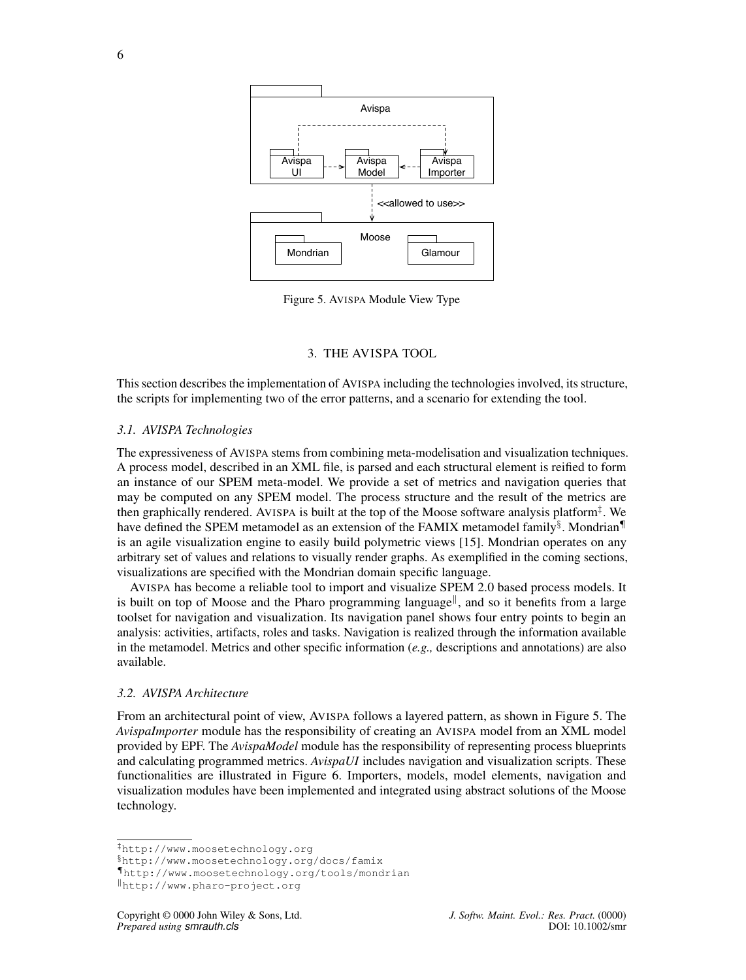<span id="page-5-5"></span>

Figure 5. AVISPA Module View Type

## 3. THE AVISPA TOOL

<span id="page-5-0"></span>This section describes the implementation of AVISPA including the technologies involved, its structure, the scripts for implementing two of the error patterns, and a scenario for extending the tool.

#### *3.1. AVISPA Technologies*

The expressiveness of AVISPA stems from combining meta-modelisation and visualization techniques. A process model, described in an XML file, is parsed and each structural element is reified to form an instance of our SPEM meta-model. We provide a set of metrics and navigation queries that may be computed on any SPEM model. The process structure and the result of the metrics are then graphically rendered. AVISPA is built at the top of the Moose software analysis platform[‡](#page-5-1) . We have defined the SPEM metamodel as an extension of the FAMIX metamodel family[§](#page-5-2). Mondrian[¶](#page-5-3) is an agile visualization engine to easily build polymetric views [\[15\]](#page-14-7). Mondrian operates on any arbitrary set of values and relations to visually render graphs. As exemplified in the coming sections, visualizations are specified with the Mondrian domain specific language.

AVISPA has become a reliable tool to import and visualize SPEM 2.0 based process models. It is built on top of Moose and the Pharo programming language<sup>||</sup>, and so it benefits from a large toolset for navigation and visualization. Its navigation panel shows four entry points to begin an analysis: activities, artifacts, roles and tasks. Navigation is realized through the information available in the metamodel. Metrics and other specific information (*e.g.,* descriptions and annotations) are also available.

## *3.2. AVISPA Architecture*

From an architectural point of view, AVISPA follows a layered pattern, as shown in Figure [5.](#page-5-5) The *AvispaImporter* module has the responsibility of creating an AVISPA model from an XML model provided by EPF. The *AvispaModel* module has the responsibility of representing process blueprints and calculating programmed metrics. *AvispaUI* includes navigation and visualization scripts. These functionalities are illustrated in Figure [6.](#page-6-0) Importers, models, model elements, navigation and visualization modules have been implemented and integrated using abstract solutions of the Moose technology.

<span id="page-5-1"></span><sup>‡</sup><http://www.moosetechnology.org>

<span id="page-5-2"></span><sup>§</sup>http://www.moosetechnology.org/docs/famix

<span id="page-5-3"></span><sup>¶</sup><http://www.moosetechnology.org/tools/mondrian>

<span id="page-5-4"></span><sup>k</sup>http://www.pharo-project.org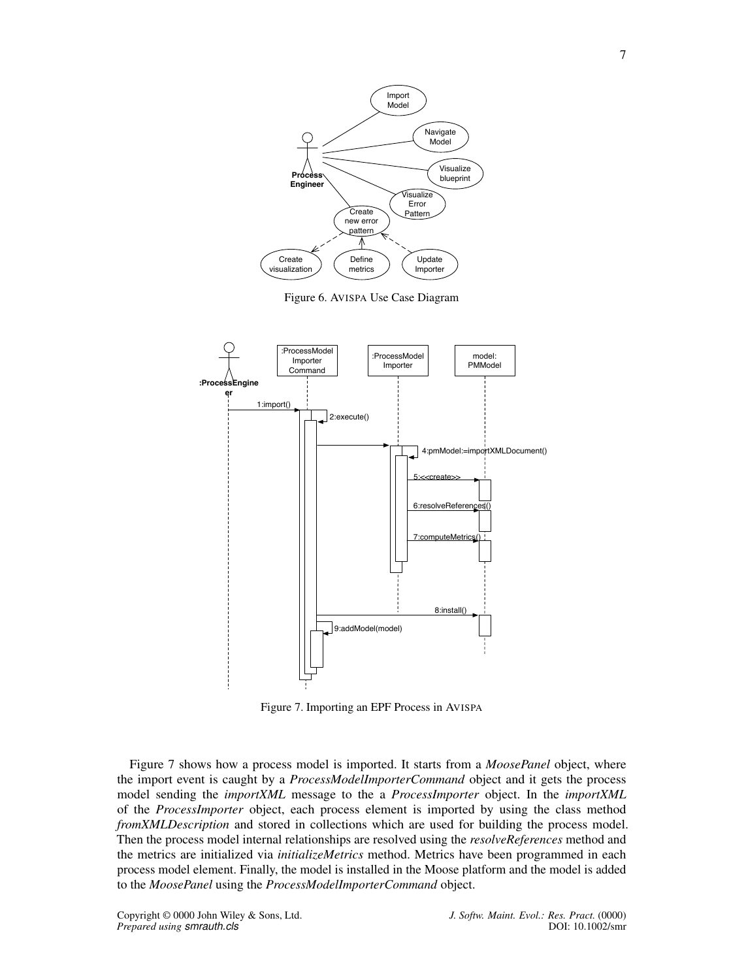<span id="page-6-0"></span>

Figure 6. AVISPA Use Case Diagram

<span id="page-6-1"></span>

Figure 7. Importing an EPF Process in AVISPA

Figure [7](#page-6-1) shows how a process model is imported. It starts from a *MoosePanel* object, where the import event is caught by a *ProcessModelImporterCommand* object and it gets the process model sending the *importXML* message to the a *ProcessImporter* object. In the *importXML* of the *ProcessImporter* object, each process element is imported by using the class method *fromXMLDescription* and stored in collections which are used for building the process model. Then the process model internal relationships are resolved using the *resolveReferences* method and the metrics are initialized via *initializeMetrics* method. Metrics have been programmed in each process model element. Finally, the model is installed in the Moose platform and the model is added to the *MoosePanel* using the *ProcessModelImporterCommand* object.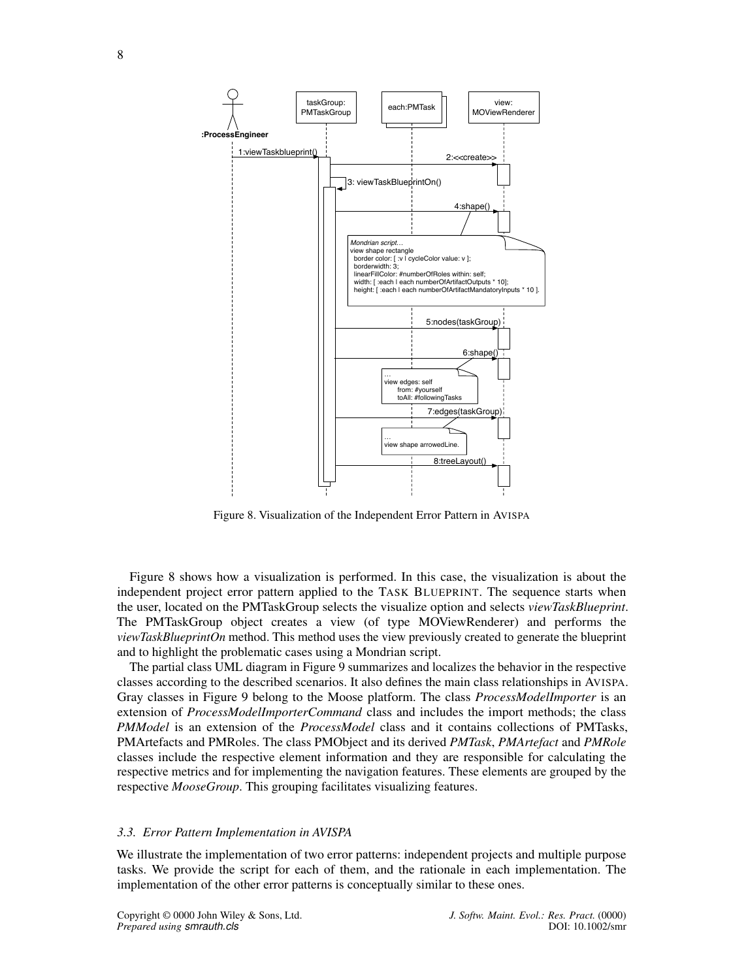<span id="page-7-0"></span>

Figure 8. Visualization of the Independent Error Pattern in AVISPA

Figure [8](#page-7-0) shows how a visualization is performed. In this case, the visualization is about the independent project error pattern applied to the TASK BLUEPRINT. The sequence starts when the user, located on the PMTaskGroup selects the visualize option and selects *viewTaskBlueprint*. The PMTaskGroup object creates a view (of type MOViewRenderer) and performs the *viewTaskBlueprintOn* method. This method uses the view previously created to generate the blueprint and to highlight the problematic cases using a Mondrian script.

The partial class UML diagram in Figure [9](#page-8-0) summarizes and localizes the behavior in the respective classes according to the described scenarios. It also defines the main class relationships in AVISPA. Gray classes in Figure [9](#page-8-0) belong to the Moose platform. The class *ProcessModelImporter* is an extension of *ProcessModelImporterCommand* class and includes the import methods; the class *PMModel* is an extension of the *ProcessModel* class and it contains collections of PMTasks, PMArtefacts and PMRoles. The class PMObject and its derived *PMTask*, *PMArtefact* and *PMRole* classes include the respective element information and they are responsible for calculating the respective metrics and for implementing the navigation features. These elements are grouped by the respective *MooseGroup*. This grouping facilitates visualizing features.

#### *3.3. Error Pattern Implementation in AVISPA*

We illustrate the implementation of two error patterns: independent projects and multiple purpose tasks. We provide the script for each of them, and the rationale in each implementation. The implementation of the other error patterns is conceptually similar to these ones.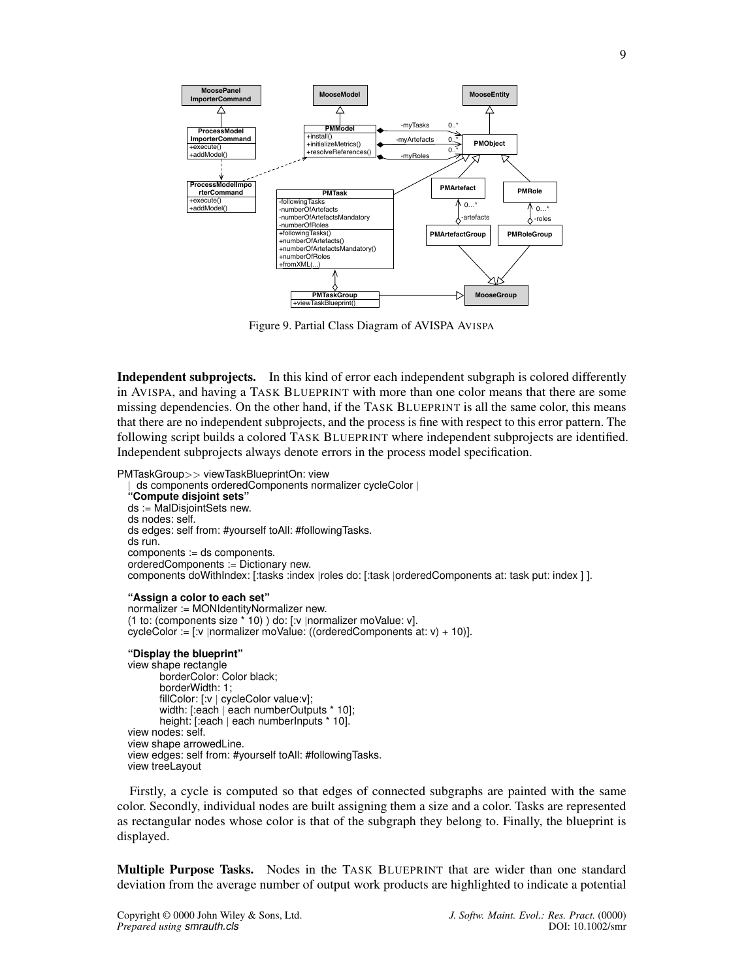<span id="page-8-0"></span>

Figure 9. Partial Class Diagram of AVISPA AVISPA

Independent subprojects. In this kind of error each independent subgraph is colored differently in AVISPA, and having a TASK BLUEPRINT with more than one color means that there are some missing dependencies. On the other hand, if the TASK BLUEPRINT is all the same color, this means that there are no independent subprojects, and the process is fine with respect to this error pattern. The following script builds a colored TASK BLUEPRINT where independent subprojects are identified. Independent subprojects always denote errors in the process model specification.

```
PMTaskGroup>> viewTaskBlueprintOn: view
    | ds components orderedComponents normalizer cycleColor |
   "Compute disjoint sets"
  ds := MalDisjointSets new.
  ds nodes: self.
  ds edges: self from: #yourself toAll: #followingTasks.
  ds run.
  components := ds components.
  orderedComponents := Dictionary new.
  components doWithIndex: [:tasks :index |roles do: [:task |orderedComponents at: task put: index ] ].
  "Assign a color to each set"
  normalizer := MONIdentityNormalizer new.
  (1 to: (components size * 10) ) do: [:v |normalizer moValue: v].
  cycleColor := [x \mid n \text{ormalizer } \text{modValue: ((orderedComponents at: v) + 10)]."Display the blueprint"
  view shape rectangle
         borderColor: Color black;
         borderWidth: 1;
         fillColor: [:v | cycleColor value:v];
         width: [:each | each numberOutputs * 10];
         height: [:each | each numberInputs * 10].
  view nodes: self.
  view shape arrowedLine.
  view edges: self from: #yourself toAll: #followingTasks.
  view treeLayout
```
Firstly, a cycle is computed so that edges of connected subgraphs are painted with the same color. Secondly, individual nodes are built assigning them a size and a color. Tasks are represented as rectangular nodes whose color is that of the subgraph they belong to. Finally, the blueprint is displayed.

Multiple Purpose Tasks. Nodes in the TASK BLUEPRINT that are wider than one standard deviation from the average number of output work products are highlighted to indicate a potential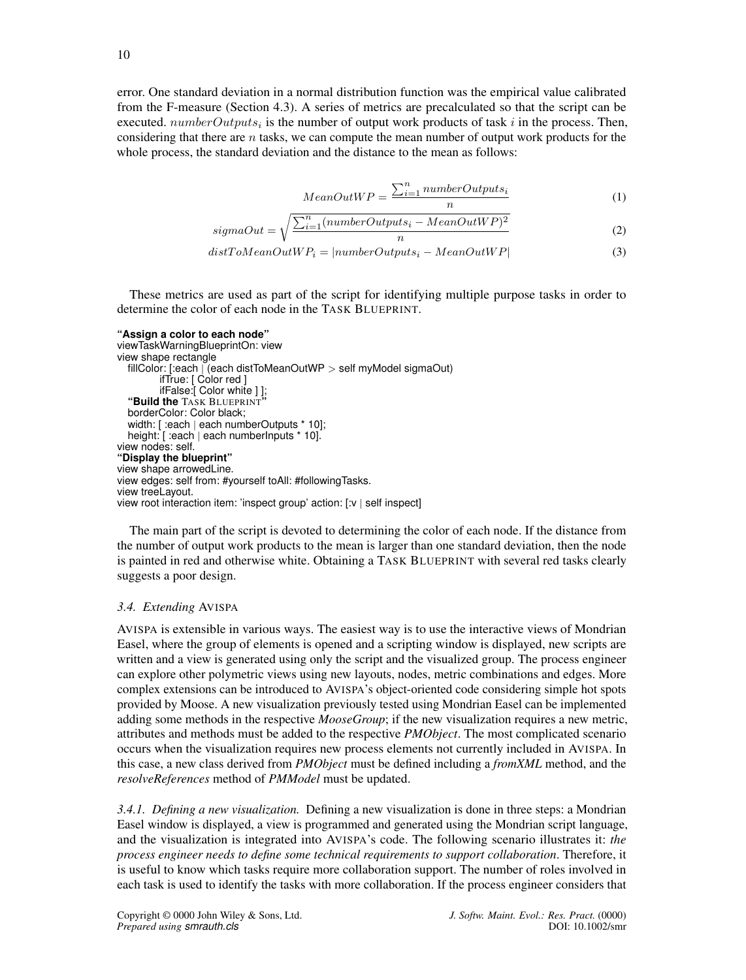error. One standard deviation in a normal distribution function was the empirical value calibrated from the F-measure (Section [4.3\)](#page-12-1). A series of metrics are precalculated so that the script can be executed.  $numberOutputs_i$  is the number of output work products of task i in the process. Then, considering that there are  $n$  tasks, we can compute the mean number of output work products for the whole process, the standard deviation and the distance to the mean as follows:

$$
MeanOutWP = \frac{\sum_{i=1}^{n} numberOutputs_i}{n}
$$
 (1)

$$
sigmaOut = \sqrt{\frac{\sum_{i=1}^{n} (numberOutputStream_i - MeanOutWP)^2}{n}} \tag{2}
$$

$$
distToMeanOutWP_i = |numberOutput_{si} - MeanOutWP|
$$
\n(3)

These metrics are used as part of the script for identifying multiple purpose tasks in order to determine the color of each node in the TASK BLUEPRINT.

```
"Assign a color to each node"
viewTaskWarningBlueprintOn: view
view shape rectangle
  fillColor: [:each | (each distToMeanOutWP > self myModel sigmaOut)
        ifTrue: [ Color red ]
        ifFalse:[ Color white ] ];
  "Build the TASK BLUEPRINT"
  borderColor: Color black;
  width: [ :each | each numberOutputs * 10];
  height: [ :each | each numberInputs * 10].
view nodes: self.
"Display the blueprint"
view shape arrowedLine.
view edges: self from: #yourself toAll: #followingTasks.
view treeLayout.
view root interaction item: 'inspect group' action: [:v | self inspect]
```
The main part of the script is devoted to determining the color of each node. If the distance from the number of output work products to the mean is larger than one standard deviation, then the node is painted in red and otherwise white. Obtaining a TASK BLUEPRINT with several red tasks clearly suggests a poor design.

# *3.4. Extending* AVISPA

AVISPA is extensible in various ways. The easiest way is to use the interactive views of Mondrian Easel, where the group of elements is opened and a scripting window is displayed, new scripts are written and a view is generated using only the script and the visualized group. The process engineer can explore other polymetric views using new layouts, nodes, metric combinations and edges. More complex extensions can be introduced to AVISPA's object-oriented code considering simple hot spots provided by Moose. A new visualization previously tested using Mondrian Easel can be implemented adding some methods in the respective *MooseGroup*; if the new visualization requires a new metric, attributes and methods must be added to the respective *PMObject*. The most complicated scenario occurs when the visualization requires new process elements not currently included in AVISPA. In this case, a new class derived from *PMObject* must be defined including a *fromXML* method, and the *resolveReferences* method of *PMModel* must be updated.

*3.4.1. Defining a new visualization.* Defining a new visualization is done in three steps: a Mondrian Easel window is displayed, a view is programmed and generated using the Mondrian script language, and the visualization is integrated into AVISPA's code. The following scenario illustrates it: *the process engineer needs to define some technical requirements to support collaboration*. Therefore, it is useful to know which tasks require more collaboration support. The number of roles involved in each task is used to identify the tasks with more collaboration. If the process engineer considers that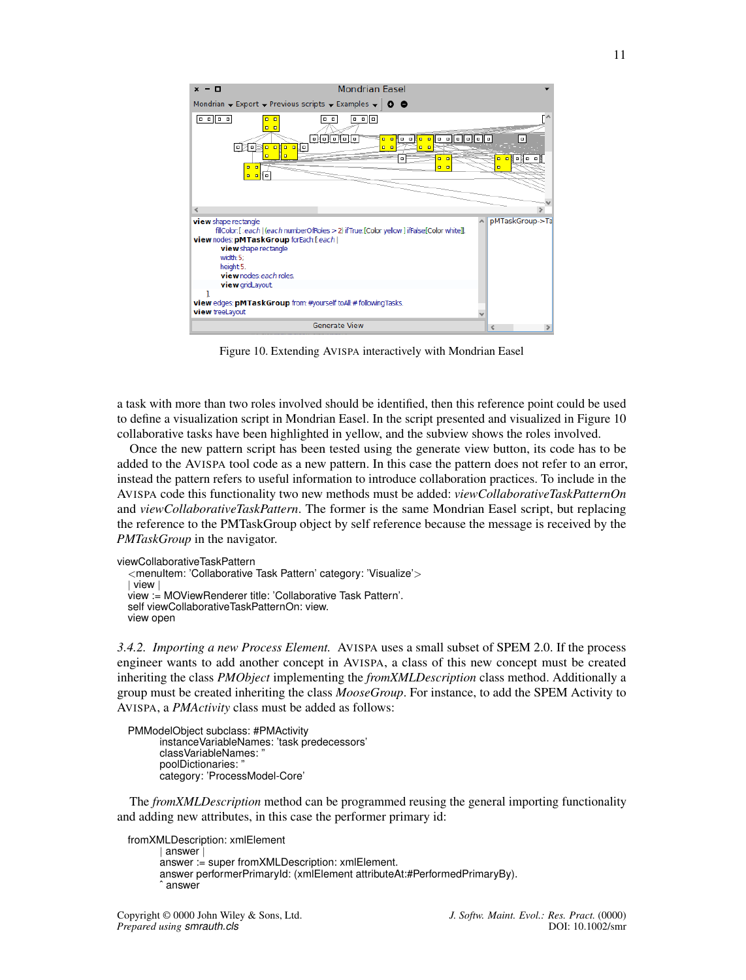<span id="page-10-0"></span>

Figure 10. Extending AVISPA interactively with Mondrian Easel

a task with more than two roles involved should be identified, then this reference point could be used to define a visualization script in Mondrian Easel. In the script presented and visualized in Figure [10](#page-10-0) collaborative tasks have been highlighted in yellow, and the subview shows the roles involved.

Once the new pattern script has been tested using the generate view button, its code has to be added to the AVISPA tool code as a new pattern. In this case the pattern does not refer to an error, instead the pattern refers to useful information to introduce collaboration practices. To include in the AVISPA code this functionality two new methods must be added: *viewCollaborativeTaskPatternOn* and *viewCollaborativeTaskPattern*. The former is the same Mondrian Easel script, but replacing the reference to the PMTaskGroup object by self reference because the message is received by the *PMTaskGroup* in the navigator.

```
viewCollaborativeTaskPattern
```

```
<menuItem: 'Collaborative Task Pattern' category: 'Visualize'>
| view |
view := MOViewRenderer title: 'Collaborative Task Pattern'.
self viewCollaborativeTaskPatternOn: view.
view open
```
*3.4.2. Importing a new Process Element.* AVISPA uses a small subset of SPEM 2.0. If the process engineer wants to add another concept in AVISPA, a class of this new concept must be created inheriting the class *PMObject* implementing the *fromXMLDescription* class method. Additionally a group must be created inheriting the class *MooseGroup*. For instance, to add the SPEM Activity to AVISPA, a *PMActivity* class must be added as follows:

```
PMModelObject subclass: #PMActivity
      instanceVariableNames: 'task predecessors'
      classVariableNames:
      poolDictionaries: "
      category: 'ProcessModel-Core'
```
The *fromXMLDescription* method can be programmed reusing the general importing functionality and adding new attributes, in this case the performer primary id:

```
fromXMLDescription: xmlElement
       | answer |
      answer := super fromXMLDescription: xmlElement.
      answer performerPrimaryId: (xmlElement attributeAt:#PerformedPrimaryBy).
       answer
```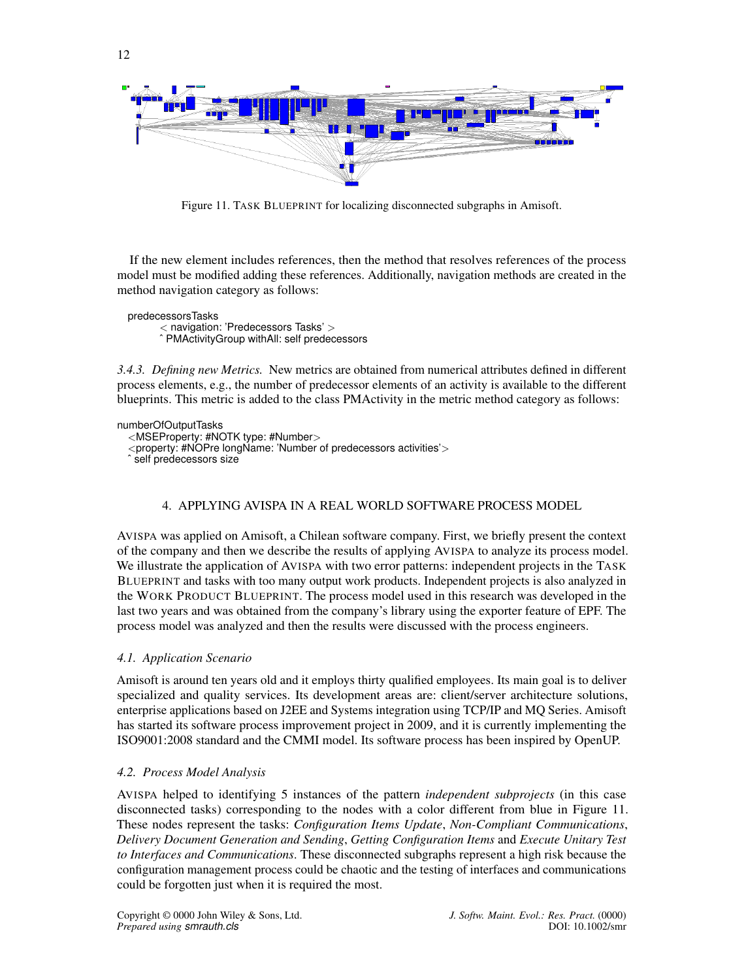<span id="page-11-1"></span>

Figure 11. TASK BLUEPRINT for localizing disconnected subgraphs in Amisoft.

If the new element includes references, then the method that resolves references of the process model must be modified adding these references. Additionally, navigation methods are created in the method navigation category as follows:

predecessorsTasks < navigation: 'Predecessors Tasks' > ˆ PMActivityGroup withAll: self predecessors

*3.4.3. Defining new Metrics.* New metrics are obtained from numerical attributes defined in different process elements, e.g., the number of predecessor elements of an activity is available to the different blueprints. This metric is added to the class PMActivity in the metric method category as follows:

numberOfOutputTasks <MSEProperty: #NOTK type: #Number> <property: #NOPre longName: 'Number of predecessors activities'> ˆ self predecessors size

# 4. APPLYING AVISPA IN A REAL WORLD SOFTWARE PROCESS MODEL

<span id="page-11-0"></span>AVISPA was applied on Amisoft, a Chilean software company. First, we briefly present the context of the company and then we describe the results of applying AVISPA to analyze its process model. We illustrate the application of AVISPA with two error patterns: independent projects in the TASK BLUEPRINT and tasks with too many output work products. Independent projects is also analyzed in the WORK PRODUCT BLUEPRINT. The process model used in this research was developed in the last two years and was obtained from the company's library using the exporter feature of EPF. The process model was analyzed and then the results were discussed with the process engineers.

# *4.1. Application Scenario*

Amisoft is around ten years old and it employs thirty qualified employees. Its main goal is to deliver specialized and quality services. Its development areas are: client/server architecture solutions, enterprise applications based on J2EE and Systems integration using TCP/IP and MQ Series. Amisoft has started its software process improvement project in 2009, and it is currently implementing the ISO9001:2008 standard and the CMMI model. Its software process has been inspired by OpenUP.

# *4.2. Process Model Analysis*

AVISPA helped to identifying 5 instances of the pattern *independent subprojects* (in this case disconnected tasks) corresponding to the nodes with a color different from blue in Figure [11.](#page-11-1) These nodes represent the tasks: *Configuration Items Update*, *Non-Compliant Communications*, *Delivery Document Generation and Sending*, *Getting Configuration Items* and *Execute Unitary Test to Interfaces and Communications*. These disconnected subgraphs represent a high risk because the configuration management process could be chaotic and the testing of interfaces and communications could be forgotten just when it is required the most.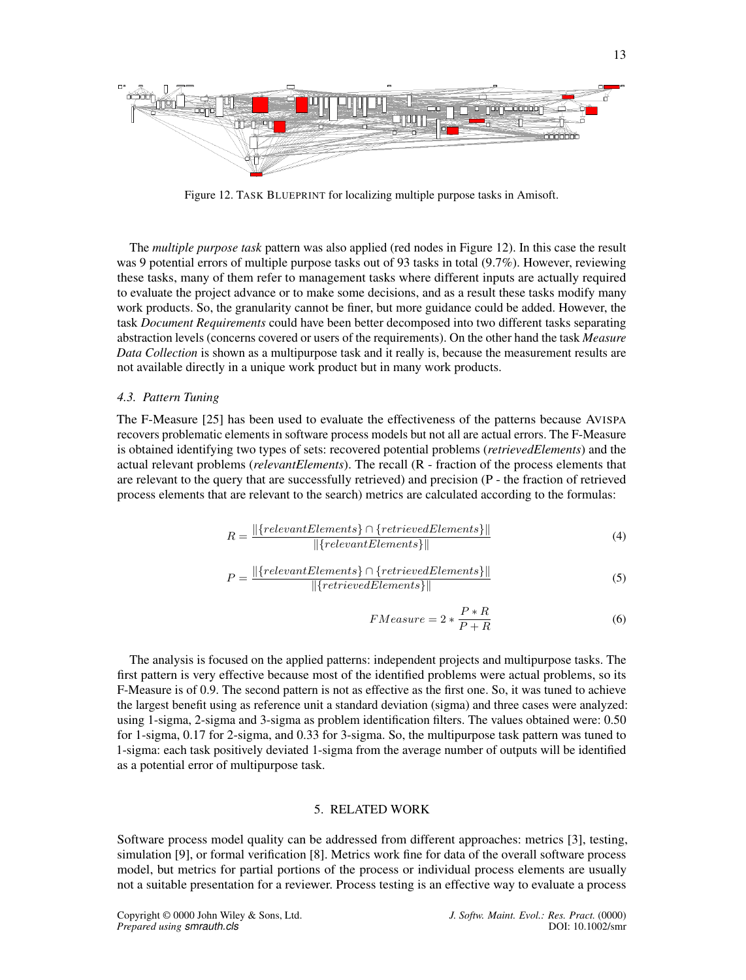<span id="page-12-2"></span>

Figure 12. TASK BLUEPRINT for localizing multiple purpose tasks in Amisoft.

The *multiple purpose task* pattern was also applied (red nodes in Figure [12\)](#page-12-2). In this case the result was 9 potential errors of multiple purpose tasks out of 93 tasks in total (9.7%). However, reviewing these tasks, many of them refer to management tasks where different inputs are actually required to evaluate the project advance or to make some decisions, and as a result these tasks modify many work products. So, the granularity cannot be finer, but more guidance could be added. However, the task *Document Requirements* could have been better decomposed into two different tasks separating abstraction levels (concerns covered or users of the requirements). On the other hand the task *Measure Data Collection* is shown as a multipurpose task and it really is, because the measurement results are not available directly in a unique work product but in many work products.

## <span id="page-12-1"></span>*4.3. Pattern Tuning*

The F-Measure [\[25\]](#page-15-4) has been used to evaluate the effectiveness of the patterns because AVISPA recovers problematic elements in software process models but not all are actual errors. The F-Measure is obtained identifying two types of sets: recovered potential problems (*retrievedElements*) and the actual relevant problems (*relevantElements*). The recall (R - fraction of the process elements that are relevant to the query that are successfully retrieved) and precision (P - the fraction of retrieved process elements that are relevant to the search) metrics are calculated according to the formulas:

$$
R = \frac{||\{relevantElements\} \cap \{retrievedElements\}||}{||\{relevantElements\}||}
$$
(4)

$$
P = \frac{||\{relevantElements\} \cap \{retrievedElements\}||}{||\{retrievedElements\}||}
$$
\n(5)

$$
FMeasure = 2 * \frac{P * R}{P + R}
$$
 (6)

The analysis is focused on the applied patterns: independent projects and multipurpose tasks. The first pattern is very effective because most of the identified problems were actual problems, so its F-Measure is of 0.9. The second pattern is not as effective as the first one. So, it was tuned to achieve the largest benefit using as reference unit a standard deviation (sigma) and three cases were analyzed: using 1-sigma, 2-sigma and 3-sigma as problem identification filters. The values obtained were: 0.50 for 1-sigma, 0.17 for 2-sigma, and 0.33 for 3-sigma. So, the multipurpose task pattern was tuned to 1-sigma: each task positively deviated 1-sigma from the average number of outputs will be identified as a potential error of multipurpose task.

## 5. RELATED WORK

<span id="page-12-0"></span>Software process model quality can be addressed from different approaches: metrics [\[3\]](#page-14-10), testing, simulation [\[9\]](#page-14-11), or formal verification [\[8\]](#page-14-12). Metrics work fine for data of the overall software process model, but metrics for partial portions of the process or individual process elements are usually not a suitable presentation for a reviewer. Process testing is an effective way to evaluate a process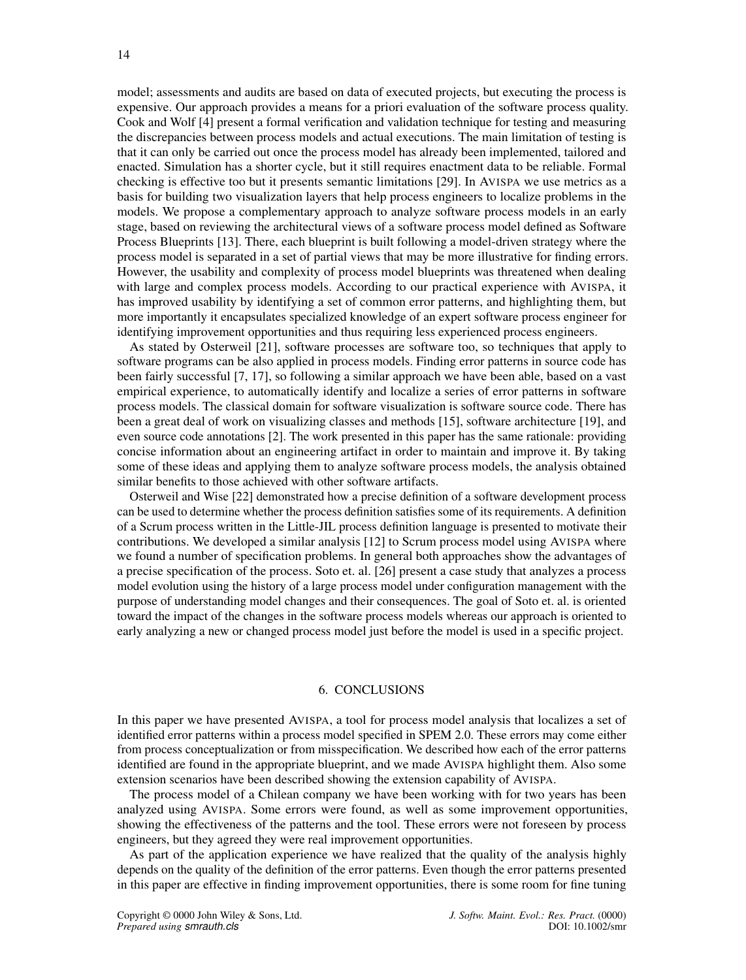model; assessments and audits are based on data of executed projects, but executing the process is expensive. Our approach provides a means for a priori evaluation of the software process quality. Cook and Wolf [\[4\]](#page-14-13) present a formal verification and validation technique for testing and measuring the discrepancies between process models and actual executions. The main limitation of testing is that it can only be carried out once the process model has already been implemented, tailored and enacted. Simulation has a shorter cycle, but it still requires enactment data to be reliable. Formal checking is effective too but it presents semantic limitations [\[29\]](#page-15-5). In AVISPA we use metrics as a basis for building two visualization layers that help process engineers to localize problems in the models. We propose a complementary approach to analyze software process models in an early stage, based on reviewing the architectural views of a software process model defined as Software Process Blueprints [\[13\]](#page-14-2). There, each blueprint is built following a model-driven strategy where the process model is separated in a set of partial views that may be more illustrative for finding errors. However, the usability and complexity of process model blueprints was threatened when dealing with large and complex process models. According to our practical experience with AVISPA, it has improved usability by identifying a set of common error patterns, and highlighting them, but more importantly it encapsulates specialized knowledge of an expert software process engineer for identifying improvement opportunities and thus requiring less experienced process engineers.

As stated by Osterweil [\[21\]](#page-14-14), software processes are software too, so techniques that apply to software programs can be also applied in process models. Finding error patterns in source code has been fairly successful [\[7,](#page-14-15) [17\]](#page-14-16), so following a similar approach we have been able, based on a vast empirical experience, to automatically identify and localize a series of error patterns in software process models. The classical domain for software visualization is software source code. There has been a great deal of work on visualizing classes and methods [\[15\]](#page-14-7), software architecture [\[19\]](#page-14-17), and even source code annotations [\[2\]](#page-14-18). The work presented in this paper has the same rationale: providing concise information about an engineering artifact in order to maintain and improve it. By taking some of these ideas and applying them to analyze software process models, the analysis obtained similar benefits to those achieved with other software artifacts.

Osterweil and Wise [\[22\]](#page-15-6) demonstrated how a precise definition of a software development process can be used to determine whether the process definition satisfies some of its requirements. A definition of a Scrum process written in the Little-JIL process definition language is presented to motivate their contributions. We developed a similar analysis [\[12\]](#page-14-19) to Scrum process model using AVISPA where we found a number of specification problems. In general both approaches show the advantages of a precise specification of the process. Soto et. al. [\[26\]](#page-15-7) present a case study that analyzes a process model evolution using the history of a large process model under configuration management with the purpose of understanding model changes and their consequences. The goal of Soto et. al. is oriented toward the impact of the changes in the software process models whereas our approach is oriented to early analyzing a new or changed process model just before the model is used in a specific project.

#### 6. CONCLUSIONS

<span id="page-13-0"></span>In this paper we have presented AVISPA, a tool for process model analysis that localizes a set of identified error patterns within a process model specified in SPEM 2.0. These errors may come either from process conceptualization or from misspecification. We described how each of the error patterns identified are found in the appropriate blueprint, and we made AVISPA highlight them. Also some extension scenarios have been described showing the extension capability of AVISPA.

The process model of a Chilean company we have been working with for two years has been analyzed using AVISPA. Some errors were found, as well as some improvement opportunities, showing the effectiveness of the patterns and the tool. These errors were not foreseen by process engineers, but they agreed they were real improvement opportunities.

As part of the application experience we have realized that the quality of the analysis highly depends on the quality of the definition of the error patterns. Even though the error patterns presented in this paper are effective in finding improvement opportunities, there is some room for fine tuning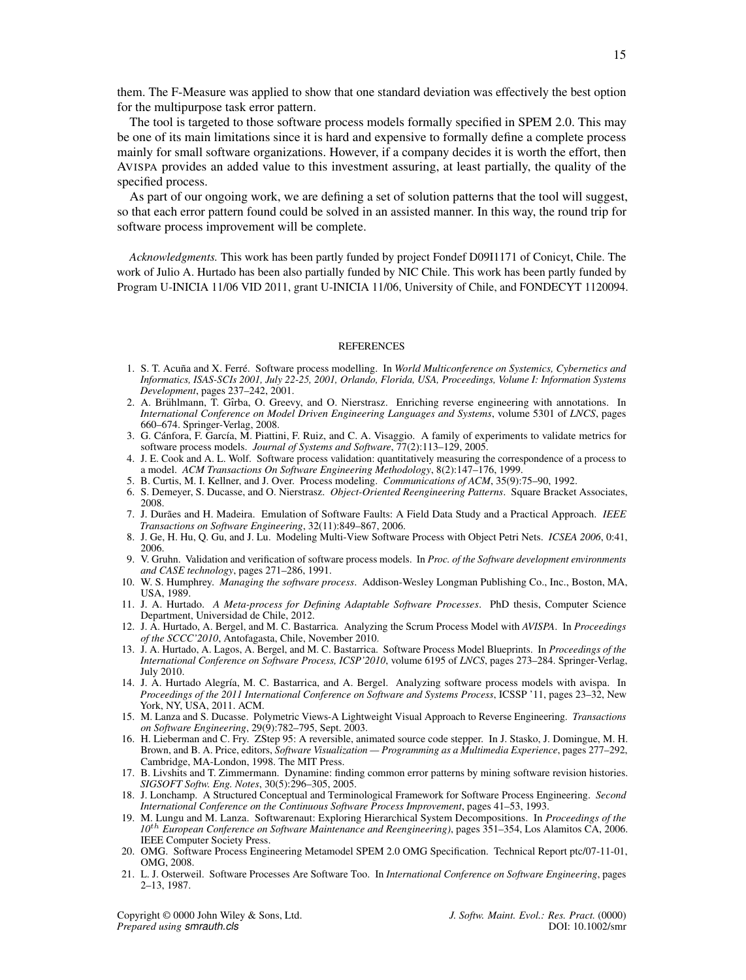them. The F-Measure was applied to show that one standard deviation was effectively the best option for the multipurpose task error pattern.

The tool is targeted to those software process models formally specified in SPEM 2.0. This may be one of its main limitations since it is hard and expensive to formally define a complete process mainly for small software organizations. However, if a company decides it is worth the effort, then AVISPA provides an added value to this investment assuring, at least partially, the quality of the specified process.

As part of our ongoing work, we are defining a set of solution patterns that the tool will suggest, so that each error pattern found could be solved in an assisted manner. In this way, the round trip for software process improvement will be complete.

*Acknowledgments.* This work has been partly funded by project Fondef D09I1171 of Conicyt, Chile. The work of Julio A. Hurtado has been also partially funded by NIC Chile. This work has been partly funded by Program U-INICIA 11/06 VID 2011, grant U-INICIA 11/06, University of Chile, and FONDECYT 1120094.

#### **REFERENCES**

- <span id="page-14-8"></span>1. S. T. Acuña and X. Ferré. Software process modelling. In World Multiconference on Systemics, Cybernetics and *Informatics, ISAS-SCIs 2001, July 22-25, 2001, Orlando, Florida, USA, Proceedings, Volume I: Information Systems Development*, pages 237–242, 2001.
- <span id="page-14-18"></span>2. A. Brühlmann, T. Gîrba, O. Greevy, and O. Nierstrasz. Enriching reverse engineering with annotations. In *International Conference on Model Driven Engineering Languages and Systems*, volume 5301 of *LNCS*, pages 660–674. Springer-Verlag, 2008.
- <span id="page-14-10"></span>3. G. Cánfora, F. García, M. Piattini, F. Ruiz, and C. A. Visaggio. A family of experiments to validate metrics for software process models. *Journal of Systems and Software*, 77(2):113–129, 2005.
- <span id="page-14-13"></span>4. J. E. Cook and A. L. Wolf. Software process validation: quantitatively measuring the correspondence of a process to a model. *ACM Transactions On Software Engineering Methodology*, 8(2):147–176, 1999.
- <span id="page-14-9"></span>5. B. Curtis, M. I. Kellner, and J. Over. Process modeling. *Communications of ACM*, 35(9):75–90, 1992.
- <span id="page-14-4"></span>6. S. Demeyer, S. Ducasse, and O. Nierstrasz. *Object-Oriented Reengineering Patterns*. Square Bracket Associates, 2008.
- <span id="page-14-15"></span>7. J. Durães and H. Madeira. Emulation of Software Faults: A Field Data Study and a Practical Approach. IEEE *Transactions on Software Engineering*, 32(11):849–867, 2006.
- <span id="page-14-12"></span>8. J. Ge, H. Hu, Q. Gu, and J. Lu. Modeling Multi-View Software Process with Object Petri Nets. *ICSEA 2006*, 0:41, 2006.
- <span id="page-14-11"></span>9. V. Gruhn. Validation and verification of software process models. In *Proc. of the Software development environments and CASE technology*, pages 271–286, 1991.
- <span id="page-14-1"></span>10. W. S. Humphrey. *Managing the software process*. Addison-Wesley Longman Publishing Co., Inc., Boston, MA, USA, 1989.
- 11. J. A. Hurtado. *A Meta-process for Defining Adaptable Software Processes*. PhD thesis, Computer Science Department, Universidad de Chile, 2012.
- <span id="page-14-19"></span>12. J. A. Hurtado, A. Bergel, and M. C. Bastarrica. Analyzing the Scrum Process Model with *AVISPA*. In *Proceedings of the SCCC'2010*, Antofagasta, Chile, November 2010.
- <span id="page-14-2"></span>13. J. A. Hurtado, A. Lagos, A. Bergel, and M. C. Bastarrica. Software Process Model Blueprints. In *Proceedings of the International Conference on Software Process, ICSP'2010*, volume 6195 of *LNCS*, pages 273–284. Springer-Verlag, July 2010.
- <span id="page-14-5"></span>14. J. A. Hurtado Alegría, M. C. Bastarrica, and A. Bergel. Analyzing software process models with avispa. In *Proceedings of the 2011 International Conference on Software and Systems Process*, ICSSP '11, pages 23–32, New York, NY, USA, 2011. ACM.
- <span id="page-14-7"></span>15. M. Lanza and S. Ducasse. Polymetric Views-A Lightweight Visual Approach to Reverse Engineering. *Transactions on Software Engineering*, 29(9):782–795, Sept. 2003.
- <span id="page-14-6"></span>16. H. Lieberman and C. Fry. ZStep 95: A reversible, animated source code stepper. In J. Stasko, J. Domingue, M. H. Brown, and B. A. Price, editors, *Software Visualization — Programming as a Multimedia Experience*, pages 277–292, Cambridge, MA-London, 1998. The MIT Press.
- <span id="page-14-16"></span>17. B. Livshits and T. Zimmermann. Dynamine: finding common error patterns by mining software revision histories. *SIGSOFT Softw. Eng. Notes*, 30(5):296–305, 2005.
- <span id="page-14-0"></span>18. J. Lonchamp. A Structured Conceptual and Terminological Framework for Software Process Engineering. *Second International Conference on the Continuous Software Process Improvement*, pages 41–53, 1993.
- <span id="page-14-17"></span>19. M. Lungu and M. Lanza. Softwarenaut: Exploring Hierarchical System Decompositions. In *Proceedings of the 10*th *European Conference on Software Maintenance and Reengineering)*, pages 351–354, Los Alamitos CA, 2006. IEEE Computer Society Press.
- <span id="page-14-3"></span>20. OMG. Software Process Engineering Metamodel SPEM 2.0 OMG Specification. Technical Report ptc/07-11-01, OMG, 2008.
- <span id="page-14-14"></span>21. L. J. Osterweil. Software Processes Are Software Too. In *International Conference on Software Engineering*, pages 2–13, 1987.